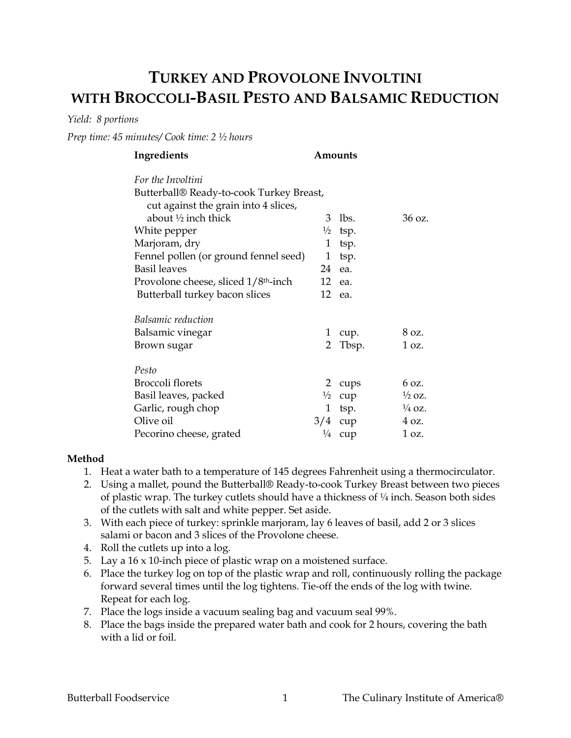## **TURKEY AND PROVOLONE INVOLTINI WITH BROCCOLI-BASIL PESTO AND BALSAMIC REDUCTION**

*Yield: 8 portions*

*Prep time: 45 minutes/ Cook time: 2 ½ hours* 

| Butterball® Ready-to-cook Turkey Breast, |                      |                                                                          |
|------------------------------------------|----------------------|--------------------------------------------------------------------------|
|                                          |                      |                                                                          |
| 3                                        | lbs.                 | 36 oz.                                                                   |
| $\frac{1}{2}$                            |                      |                                                                          |
| 1                                        | tsp.                 |                                                                          |
| 1                                        | tsp.                 |                                                                          |
| 24                                       |                      |                                                                          |
|                                          |                      |                                                                          |
|                                          |                      |                                                                          |
|                                          |                      |                                                                          |
| 1                                        | cup.                 | 8 oz.                                                                    |
| $\overline{2}$                           | Tbsp.                | 1 oz.                                                                    |
|                                          |                      |                                                                          |
| 2                                        |                      | 6 oz.                                                                    |
|                                          |                      | $\frac{1}{2}$ OZ.                                                        |
| 1                                        |                      | $\frac{1}{4}$ OZ.                                                        |
|                                          |                      | $4 \Omega$ .                                                             |
| $\frac{1}{4}$                            | cup                  | 1 oz.                                                                    |
|                                          | $\frac{1}{2}$<br>3/4 | Amounts<br>tsp.<br>ea.<br>12 ea.<br>12 ea.<br>cups<br>cup<br>tsp.<br>cup |

## **Method**

- 1. Heat a water bath to a temperature of 145 degrees Fahrenheit using a thermocirculator.
- 2. Using a mallet, pound the Butterball® Ready-to-cook Turkey Breast between two pieces of plastic wrap. The turkey cutlets should have a thickness of  $\frac{1}{4}$  inch. Season both sides of the cutlets with salt and white pepper. Set aside.
- 3. With each piece of turkey: sprinkle marjoram, lay 6 leaves of basil, add 2 or 3 slices salami or bacon and 3 slices of the Provolone cheese.
- 4. Roll the cutlets up into a log.
- 5. Lay a 16 x 10-inch piece of plastic wrap on a moistened surface.
- 6. Place the turkey log on top of the plastic wrap and roll, continuously rolling the package forward several times until the log tightens. Tie-off the ends of the log with twine. Repeat for each log.
- 7. Place the logs inside a vacuum sealing bag and vacuum seal 99%.
- 8. Place the bags inside the prepared water bath and cook for 2 hours, covering the bath with a lid or foil.